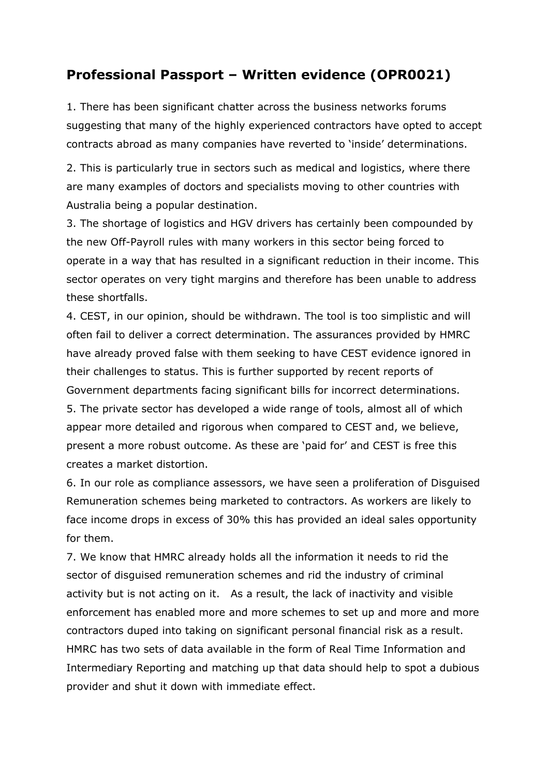## **Professional Passport – Written evidence (OPR0021)**

1. There has been significant chatter across the business networks forums suggesting that many of the highly experienced contractors have opted to accept contracts abroad as many companies have reverted to 'inside' determinations.

2. This is particularly true in sectors such as medical and logistics, where there are many examples of doctors and specialists moving to other countries with Australia being a popular destination.

3. The shortage of logistics and HGV drivers has certainly been compounded by the new Off-Payroll rules with many workers in this sector being forced to operate in a way that has resulted in a significant reduction in their income. This sector operates on very tight margins and therefore has been unable to address these shortfalls.

4. CEST, in our opinion, should be withdrawn. The tool is too simplistic and will often fail to deliver a correct determination. The assurances provided by HMRC have already proved false with them seeking to have CEST evidence ignored in their challenges to status. This is further supported by recent reports of Government departments facing significant bills for incorrect determinations. 5. The private sector has developed a wide range of tools, almost all of which appear more detailed and rigorous when compared to CEST and, we believe, present a more robust outcome. As these are 'paid for' and CEST is free this

creates a market distortion.

6. In our role as compliance assessors, we have seen a proliferation of Disguised Remuneration schemes being marketed to contractors. As workers are likely to face income drops in excess of 30% this has provided an ideal sales opportunity for them.

7. We know that HMRC already holds all the information it needs to rid the sector of disguised remuneration schemes and rid the industry of criminal activity but is not acting on it. As a result, the lack of inactivity and visible enforcement has enabled more and more schemes to set up and more and more contractors duped into taking on significant personal financial risk as a result. HMRC has two sets of data available in the form of Real Time Information and Intermediary Reporting and matching up that data should help to spot a dubious provider and shut it down with immediate effect.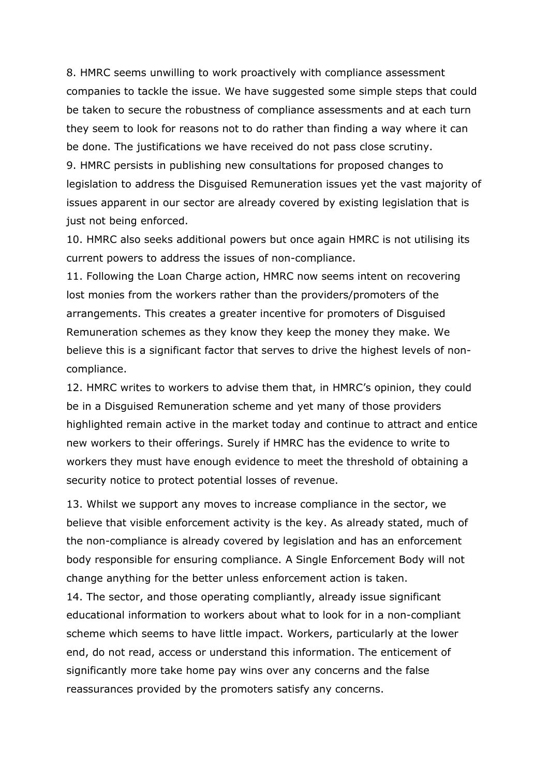8. HMRC seems unwilling to work proactively with compliance assessment companies to tackle the issue. We have suggested some simple steps that could be taken to secure the robustness of compliance assessments and at each turn they seem to look for reasons not to do rather than finding a way where it can be done. The justifications we have received do not pass close scrutiny. 9. HMRC persists in publishing new consultations for proposed changes to legislation to address the Disguised Remuneration issues yet the vast majority of issues apparent in our sector are already covered by existing legislation that is just not being enforced.

10. HMRC also seeks additional powers but once again HMRC is not utilising its current powers to address the issues of non-compliance.

11. Following the Loan Charge action, HMRC now seems intent on recovering lost monies from the workers rather than the providers/promoters of the arrangements. This creates a greater incentive for promoters of Disguised Remuneration schemes as they know they keep the money they make. We believe this is a significant factor that serves to drive the highest levels of noncompliance.

12. HMRC writes to workers to advise them that, in HMRC's opinion, they could be in a Disguised Remuneration scheme and yet many of those providers highlighted remain active in the market today and continue to attract and entice new workers to their offerings. Surely if HMRC has the evidence to write to workers they must have enough evidence to meet the threshold of obtaining a security notice to protect potential losses of revenue.

13. Whilst we support any moves to increase compliance in the sector, we believe that visible enforcement activity is the key. As already stated, much of the non-compliance is already covered by legislation and has an enforcement body responsible for ensuring compliance. A Single Enforcement Body will not change anything for the better unless enforcement action is taken.

14. The sector, and those operating compliantly, already issue significant educational information to workers about what to look for in a non-compliant scheme which seems to have little impact. Workers, particularly at the lower end, do not read, access or understand this information. The enticement of significantly more take home pay wins over any concerns and the false reassurances provided by the promoters satisfy any concerns.